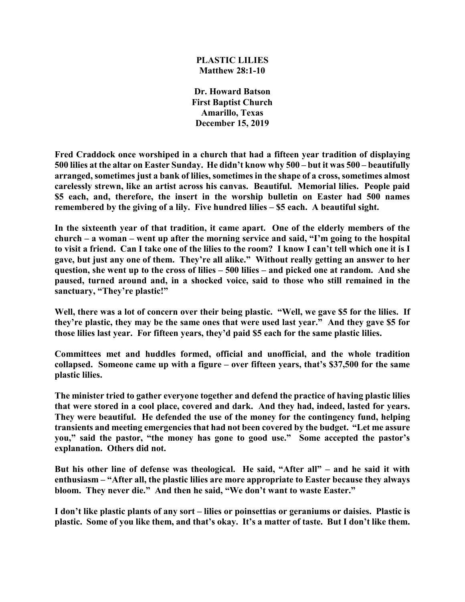## **PLASTIC LILIES Matthew 28:1-10**

**Dr. Howard Batson First Baptist Church Amarillo, Texas December 15, 2019**

**Fred Craddock once worshiped in a church that had a fifteen year tradition of displaying 500 lilies at the altar on Easter Sunday. He didn't know why 500 – but it was 500 – beautifully arranged, sometimes just a bank of lilies, sometimes in the shape of a cross, sometimes almost carelessly strewn, like an artist across his canvas. Beautiful. Memorial lilies. People paid \$5 each, and, therefore, the insert in the worship bulletin on Easter had 500 names remembered by the giving of a lily. Five hundred lilies – \$5 each. A beautiful sight.**

**In the sixteenth year of that tradition, it came apart. One of the elderly members of the church – a woman – went up after the morning service and said, "I'm going to the hospital to visit a friend. Can I take one of the lilies to the room? I know I can't tell which one it is I gave, but just any one of them. They're all alike." Without really getting an answer to her question, she went up to the cross of lilies – 500 lilies – and picked one at random. And she paused, turned around and, in a shocked voice, said to those who still remained in the sanctuary, "They're plastic!"**

**Well, there was a lot of concern over their being plastic. "Well, we gave \$5 for the lilies. If they're plastic, they may be the same ones that were used last year." And they gave \$5 for those lilies last year. For fifteen years, they'd paid \$5 each for the same plastic lilies.**

**Committees met and huddles formed, official and unofficial, and the whole tradition collapsed. Someone came up with a figure – over fifteen years, that's \$37,500 for the same plastic lilies.**

**The minister tried to gather everyone together and defend the practice of having plastic lilies that were stored in a cool place, covered and dark. And they had, indeed, lasted for years. They were beautiful. He defended the use of the money for the contingency fund, helping transients and meeting emergencies that had not been covered by the budget. "Let me assure you," said the pastor, "the money has gone to good use." Some accepted the pastor's explanation. Others did not.**

**But his other line of defense was theological. He said, "After all" – and he said it with enthusiasm – "After all, the plastic lilies are more appropriate to Easter because they always bloom. They never die." And then he said, "We don't want to waste Easter."** 

**I don't like plastic plants of any sort – lilies or poinsettias or geraniums or daisies. Plastic is plastic. Some of you like them, and that's okay. It's a matter of taste. But I don't like them.**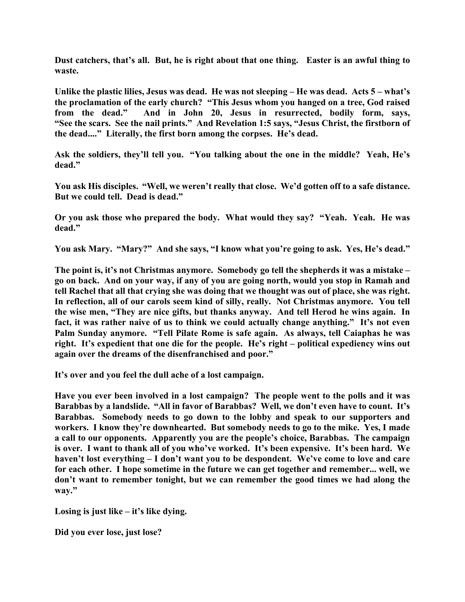**Dust catchers, that's all. But, he is right about that one thing. Easter is an awful thing to waste.** 

**Unlike the plastic lilies, Jesus was dead. He was not sleeping – He was dead. Acts 5 – what's the proclamation of the early church? "This Jesus whom you hanged on a tree, God raised from the dead." And in John 20, Jesus in resurrected, bodily form, says, "See the scars. See the nail prints." And Revelation 1:5 says, "Jesus Christ, the firstborn of the dead...." Literally, the first born among the corpses. He's dead.**

**Ask the soldiers, they'll tell you. "You talking about the one in the middle? Yeah, He's dead."**

**You ask His disciples. "Well, we weren't really that close. We'd gotten off to a safe distance. But we could tell. Dead is dead."**

**Or you ask those who prepared the body. What would they say? "Yeah. Yeah. He was dead."**

**You ask Mary. "Mary?" And she says, "I know what you're going to ask. Yes, He's dead."**

**The point is, it's not Christmas anymore. Somebody go tell the shepherds it was a mistake – go on back. And on your way, if any of you are going north, would you stop in Ramah and tell Rachel that all that crying she was doing that we thought was out of place, she was right. In reflection, all of our carols seem kind of silly, really. Not Christmas anymore. You tell the wise men, "They are nice gifts, but thanks anyway. And tell Herod he wins again. In fact, it was rather naive of us to think we could actually change anything." It's not even Palm Sunday anymore. "Tell Pilate Rome is safe again. As always, tell Caiaphas he was right. It's expedient that one die for the people. He's right – political expediency wins out again over the dreams of the disenfranchised and poor."**

**It's over and you feel the dull ache of a lost campaign.**

**Have you ever been involved in a lost campaign? The people went to the polls and it was Barabbas by a landslide. "All in favor of Barabbas? Well, we don't even have to count. It's Barabbas. Somebody needs to go down to the lobby and speak to our supporters and workers. I know they're downhearted. But somebody needs to go to the mike. Yes, I made a call to our opponents. Apparently you are the people's choice, Barabbas. The campaign is over. I want to thank all of you who've worked. It's been expensive. It's been hard. We haven't lost everything – I don't want you to be despondent. We've come to love and care for each other. I hope sometime in the future we can get together and remember... well, we don't want to remember tonight, but we can remember the good times we had along the way."**

**Losing is just like – it's like dying.**

**Did you ever lose, just lose?**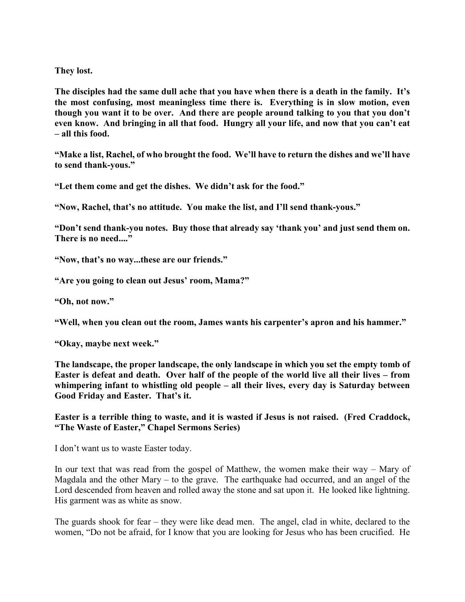**They lost.**

**The disciples had the same dull ache that you have when there is a death in the family. It's the most confusing, most meaningless time there is. Everything is in slow motion, even though you want it to be over. And there are people around talking to you that you don't even know. And bringing in all that food. Hungry all your life, and now that you can't eat – all this food.**

**"Make a list, Rachel, of who brought the food. We'll have to return the dishes and we'll have to send thank-yous."**

**"Let them come and get the dishes. We didn't ask for the food."**

**"Now, Rachel, that's no attitude. You make the list, and I'll send thank-yous."**

**"Don't send thank-you notes. Buy those that already say 'thank you' and just send them on. There is no need...."**

**"Now, that's no way...these are our friends."**

**"Are you going to clean out Jesus' room, Mama?"**

**"Oh, not now."**

**"Well, when you clean out the room, James wants his carpenter's apron and his hammer."**

**"Okay, maybe next week."**

**The landscape, the proper landscape, the only landscape in which you set the empty tomb of Easter is defeat and death. Over half of the people of the world live all their lives – from whimpering infant to whistling old people – all their lives, every day is Saturday between Good Friday and Easter. That's it.**

**Easter is a terrible thing to waste, and it is wasted if Jesus is not raised. (Fred Craddock, "The Waste of Easter," Chapel Sermons Series)**

I don't want us to waste Easter today.

In our text that was read from the gospel of Matthew, the women make their way – Mary of Magdala and the other Mary – to the grave. The earthquake had occurred, and an angel of the Lord descended from heaven and rolled away the stone and sat upon it. He looked like lightning. His garment was as white as snow.

The guards shook for fear – they were like dead men. The angel, clad in white, declared to the women, "Do not be afraid, for I know that you are looking for Jesus who has been crucified. He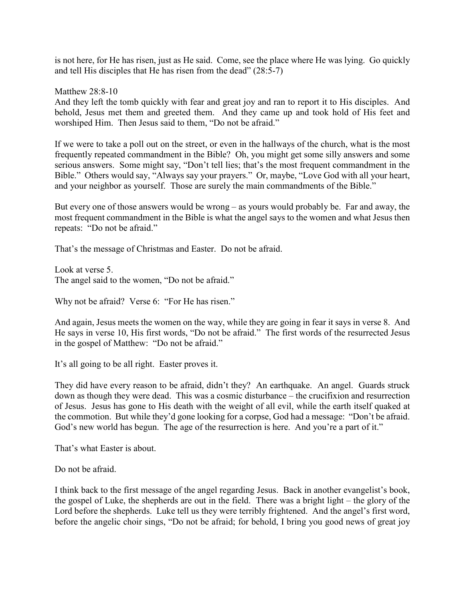is not here, for He has risen, just as He said. Come, see the place where He was lying. Go quickly and tell His disciples that He has risen from the dead" (28:5-7)

Matthew 28:8-10

And they left the tomb quickly with fear and great joy and ran to report it to His disciples. And behold, Jesus met them and greeted them. And they came up and took hold of His feet and worshiped Him. Then Jesus said to them, "Do not be afraid."

If we were to take a poll out on the street, or even in the hallways of the church, what is the most frequently repeated commandment in the Bible? Oh, you might get some silly answers and some serious answers. Some might say, "Don't tell lies; that's the most frequent commandment in the Bible." Others would say, "Always say your prayers." Or, maybe, "Love God with all your heart, and your neighbor as yourself. Those are surely the main commandments of the Bible."

But every one of those answers would be wrong – as yours would probably be. Far and away, the most frequent commandment in the Bible is what the angel says to the women and what Jesus then repeats: "Do not be afraid."

That's the message of Christmas and Easter. Do not be afraid.

Look at verse 5. The angel said to the women, "Do not be afraid."

Why not be afraid? Verse 6: "For He has risen."

And again, Jesus meets the women on the way, while they are going in fear it says in verse 8. And He says in verse 10, His first words, "Do not be afraid." The first words of the resurrected Jesus in the gospel of Matthew: "Do not be afraid."

It's all going to be all right. Easter proves it.

They did have every reason to be afraid, didn't they? An earthquake. An angel. Guards struck down as though they were dead. This was a cosmic disturbance – the crucifixion and resurrection of Jesus. Jesus has gone to His death with the weight of all evil, while the earth itself quaked at the commotion. But while they'd gone looking for a corpse, God had a message: "Don't be afraid. God's new world has begun. The age of the resurrection is here. And you're a part of it."

That's what Easter is about.

Do not be afraid.

I think back to the first message of the angel regarding Jesus. Back in another evangelist's book, the gospel of Luke, the shepherds are out in the field. There was a bright light – the glory of the Lord before the shepherds. Luke tell us they were terribly frightened. And the angel's first word, before the angelic choir sings, "Do not be afraid; for behold, I bring you good news of great joy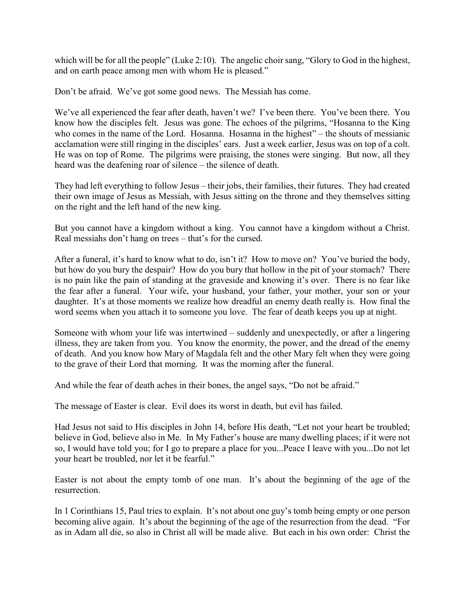which will be for all the people" (Luke 2:10). The angelic choir sang, "Glory to God in the highest, and on earth peace among men with whom He is pleased."

Don't be afraid. We've got some good news. The Messiah has come.

We've all experienced the fear after death, haven't we? I've been there. You've been there. You know how the disciples felt. Jesus was gone. The echoes of the pilgrims, "Hosanna to the King who comes in the name of the Lord. Hosanna. Hosanna in the highest" – the shouts of messianic acclamation were still ringing in the disciples' ears. Just a week earlier, Jesus was on top of a colt. He was on top of Rome. The pilgrims were praising, the stones were singing. But now, all they heard was the deafening roar of silence – the silence of death.

They had left everything to follow Jesus – their jobs, their families, their futures. They had created their own image of Jesus as Messiah, with Jesus sitting on the throne and they themselves sitting on the right and the left hand of the new king.

But you cannot have a kingdom without a king. You cannot have a kingdom without a Christ. Real messiahs don't hang on trees – that's for the cursed.

After a funeral, it's hard to know what to do, isn't it? How to move on? You've buried the body, but how do you bury the despair? How do you bury that hollow in the pit of your stomach? There is no pain like the pain of standing at the graveside and knowing it's over. There is no fear like the fear after a funeral. Your wife, your husband, your father, your mother, your son or your daughter. It's at those moments we realize how dreadful an enemy death really is. How final the word seems when you attach it to someone you love. The fear of death keeps you up at night.

Someone with whom your life was intertwined – suddenly and unexpectedly, or after a lingering illness, they are taken from you. You know the enormity, the power, and the dread of the enemy of death. And you know how Mary of Magdala felt and the other Mary felt when they were going to the grave of their Lord that morning. It was the morning after the funeral.

And while the fear of death aches in their bones, the angel says, "Do not be afraid."

The message of Easter is clear. Evil does its worst in death, but evil has failed.

Had Jesus not said to His disciples in John 14, before His death, "Let not your heart be troubled; believe in God, believe also in Me. In My Father's house are many dwelling places; if it were not so, I would have told you; for I go to prepare a place for you...Peace I leave with you...Do not let your heart be troubled, nor let it be fearful."

Easter is not about the empty tomb of one man. It's about the beginning of the age of the resurrection.

In 1 Corinthians 15, Paul tries to explain. It's not about one guy's tomb being empty or one person becoming alive again. It's about the beginning of the age of the resurrection from the dead. "For as in Adam all die, so also in Christ all will be made alive. But each in his own order: Christ the